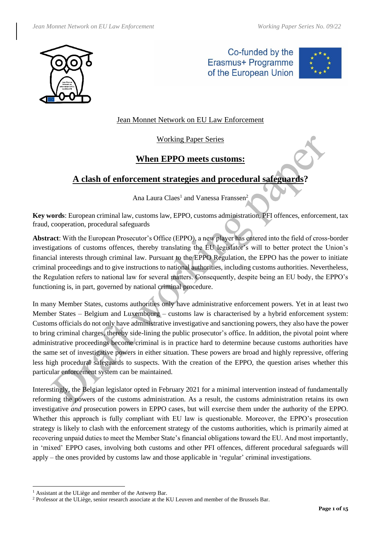

Co-funded by the Erasmus+ Programme of the European Union



## Jean Monnet Network on EU Law Enforcement

### Working Paper Series

## **When EPPO meets customs:**

# **A clash of enforcement strategies and procedural safeguards?**

Ana Laura Claes<sup>1</sup> and Vanessa Franssen<sup>2</sup>

**Key words**: European criminal law, customs law, EPPO, customs administration, PFI offences, enforcement, tax fraud, cooperation, procedural safeguards

**Abstract**: With the European Prosecutor's Office (EPPO), a new player has entered into the field of cross-border investigations of customs offences, thereby translating the EU legislator's will to better protect the Union's financial interests through criminal law. Pursuant to the EPPO Regulation, the EPPO has the power to initiate criminal proceedings and to give instructions to national authorities, including customs authorities. Nevertheless, the Regulation refers to national law for several matters. Consequently, despite being an EU body, the EPPO's functioning is, in part, governed by national criminal procedure.

In many Member States, customs authorities only have administrative enforcement powers. Yet in at least two Member States – Belgium and Luxembourg – customs law is characterised by a hybrid enforcement system: Customs officials do not only have administrative investigative and sanctioning powers, they also have the power to bring criminal charges, thereby side-lining the public prosecutor's office. In addition, the pivotal point where administrative proceedings become criminal is in practice hard to determine because customs authorities have the same set of investigative powers in either situation. These powers are broad and highly repressive, offering less high procedural safeguards to suspects. With the creation of the EPPO, the question arises whether this particular enforcement system can be maintained.

Interestingly, the Belgian legislator opted in February 2021 for a minimal intervention instead of fundamentally reforming the powers of the customs administration. As a result, the customs administration retains its own investigative *and* prosecution powers in EPPO cases, but will exercise them under the authority of the EPPO. Whether this approach is fully compliant with EU law is questionable. Moreover, the EPPO's prosecution strategy is likely to clash with the enforcement strategy of the customs authorities, which is primarily aimed at recovering unpaid duties to meet the Member State's financial obligations toward the EU. And most importantly, in 'mixed' EPPO cases, involving both customs and other PFI offences, different procedural safeguards will apply – the ones provided by customs law and those applicable in 'regular' criminal investigations.

<sup>&</sup>lt;sup>1</sup> Assistant at the ULiège and member of the Antwerp Bar.

<sup>2</sup> Professor at the ULiège, senior research associate at the KU Leuven and member of the Brussels Bar.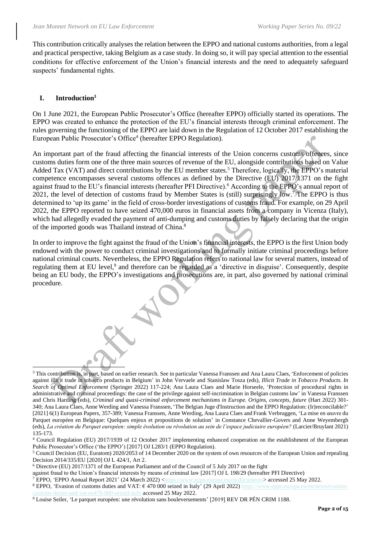This contribution critically analyses the relation between the EPPO and national customs authorities, from a legal and practical perspective, taking Belgium as a case study. In doing so, it will pay special attention to the essential conditions for effective enforcement of the Union's financial interests and the need to adequately safeguard suspects' fundamental rights.

#### <span id="page-1-0"></span>**I. Introduction<sup>3</sup>**

On 1 June 2021, the European Public Prosecutor's Office (hereafter EPPO) officially started its operations. The EPPO was created to enhance the protection of the EU's financial interests through criminal enforcement. The rules governing the functioning of the EPPO are laid down in the Regulation of 12 October 2017 establishing the European Public Prosecutor's Office<sup>4</sup> (hereafter EPPO Regulation).

An important part of the fraud affecting the financial interests of the Union concerns customs offences, since customs duties form one of the three main sources of revenue of the EU, alongside contributions based on Value Added Tax (VAT) and direct contributions by the EU member states. <sup>5</sup> Therefore, logically, the EPPO's material competence encompasses several customs offences as defined by the Directive (EU) 2017/1371 on the fight against fraud to the EU's financial interests (hereafter PFI Directive).<sup>6</sup> According to the EPPO's annual report of 2021, the level of detection of customs fraud by Member States is (still) surprisingly low.<sup>7</sup>/The EPPO is thus determined to 'up its game' in the field of cross-border investigations of customs fraud. For example, on 29 April 2022, the EPPO reported to have seized 470,000 euros in financial assets from a company in Vicenza (Italy), which had allegedly evaded the payment of anti-dumping and customs duties by falsely declaring that the origin of the imported goods was Thailand instead of China.<sup>8</sup>

In order to improve the fight against the fraud of the Union's financial interests, the EPPO is the first Union body endowed with the power to conduct criminal investigations and to formally initiate criminal proceedings before national criminal courts. Nevertheless, the EPPO Regulation refers to national law for several matters, instead of regulating them at EU level,<sup>9</sup> and therefore can be regarded as a 'directive in disguise'. Consequently, despite being an EU body, the EPPO's investigations and prosecutions are, in part, also governed by national criminal procedure.

against fraud to the Union's financial interests by means of criminal law [2017] OJ L 198/29 (hereafter PFI Directive)

<sup>&</sup>lt;sup>3</sup> This contribution is, in part, based on earlier research. See in particular Vanessa Franssen and Ana Laura Claes, 'Enforcement of policies against illicit trade in tobacco products in Belgium' in John Vervaele and Stanislaw Tosza (eds), *Illicit Trade in Tobacco Products. In Search of Optimal Enforcement* (Springer 2022) 117-224; Ana Laura Claes and Marie Horseele, 'Protection of procedural rights in administrative and criminal proceedings: the case of the privilege against self-incrimination in Belgian customs law' in Vanessa Franssen and Chris Harding (eds), *Criminal and quasi-criminal enforcement mechanisms in Europe. Origins, concepts, future* (Hart 2022) 301-340; Ana Laura Claes, Anne Werding and Vanessa Franssen, 'The Belgian Juge d'Instruction and the EPPO Regulation: (Ir)reconcilable?' [2021] 6(1) European Papers, 357-389; Vanessa Franssen, Anne Werding, Ana Laura Claes and Frank Verbruggen, 'La mise en œuvre du Parquet européen en Belgique: Quelques enjeux et propositions de solution' in Constance Chevallier-Govers and Anne Weyembergh (eds), *La création du Parquet européen: simple évolution ou révolution au sein de l'espace judiciaire européen?* (Larcier/Bruylant 2021) 135-173.

<sup>4</sup> Council Regulation (EU) 2017/1939 of 12 October 2017 implementing enhanced cooperation on the establishment of the European Public Prosecutor's Office ('the EPPO') [2017] OJ L283/1 (EPPO Regulation).

<sup>5</sup> Council Decision (EU, Euratom) 2020/2053 of 14 December 2020 on the system of own resources of the European Union and repealing Decision 2014/335/EU [2020] OJ L 424/1, Art 2.

<sup>6</sup> Directive (EU) 2017/1371 of the European Parliament and of the Council of 5 July 2017 on the fight

<sup>&</sup>lt;sup>7</sup> EPPO, 'EPPO Annual Report 2021' (24 March 2022) [<https://www.eppo.europa.eu/en/documents>](https://www.eppo.europa.eu/en/documents) accessed 25 May 2022.

<sup>8</sup> EPPO, 'Evasion of customs duties and VAT: € 470 000 seized in Italy' (29 April 2022) [https://www.eppo.europa.eu/en/news/evasion](https://www.eppo.europa.eu/en/news/evasion-customs-duties-and-vat-eu470-000-seized-italy)[customs-duties-and-vat-eu470-000-seized-italy](https://www.eppo.europa.eu/en/news/evasion-customs-duties-and-vat-eu470-000-seized-italy) accessed 25 May 2022.

<sup>9</sup> Louise Seiler, 'Le parquet européen: une révolution sans bouleversements' [2019] REV DR PÉN CRIM 1188.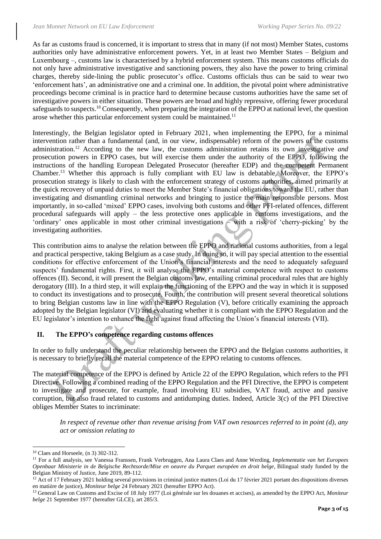As far as customs fraud is concerned, it is important to stress that in many (if not most) Member States, customs authorities only have administrative enforcement powers. Yet, in at least two Member States – Belgium and Luxembourg –, customs law is characterised by a hybrid enforcement system. This means customs officials do not only have administrative investigative and sanctioning powers, they also have the power to bring criminal charges, thereby side-lining the public prosecutor's office. Customs officials thus can be said to wear two 'enforcement hats', an administrative one and a criminal one. In addition, the pivotal point where administrative proceedings become criminal is in practice hard to determine because customs authorities have the same set of investigative powers in either situation. These powers are broad and highly repressive, offering fewer procedural safeguards to suspects.<sup>10</sup> Consequently, when preparing the integration of the EPPO at national level, the question arose whether this particular enforcement system could be maintained.<sup>11</sup>

<span id="page-2-0"></span>Interestingly, the Belgian legislator opted in February 2021, when implementing the EPPO, for a minimal intervention rather than a fundamental (and, in our view, indispensable) reform of the powers of the customs administration. <sup>12</sup> According to the new law, the customs administration retains its own investigative *and* prosecution powers in EPPO cases, but will exercise them under the authority of the EPPO, following the instructions of the handling European Delegated Prosecutor (hereafter EDP) and the competent Permanent Chamber. <sup>13</sup> Whether this approach is fully compliant with EU law is debatable. Moreover, the EPPO's prosecution strategy is likely to clash with the enforcement strategy of customs authorities, aimed primarily at the quick recovery of unpaid duties to meet the Member State's financial obligations toward the EU, rather than investigating and dismantling criminal networks and bringing to justice the main responsible persons. Most importantly, in so-called 'mixed' EPPO cases, involving both customs and other PFI-related offences, different procedural safeguards will apply – the less protective ones applicable in customs investigations, and the 'ordinary' ones applicable in most other criminal investigations – with a risk of 'cherry-picking' by the investigating authorities.

This contribution aims to analyse the relation between the EPPO and national customs authorities, from a legal and practical perspective, taking Belgium as a case study. In doing so, it will pay special attention to the essential conditions for effective enforcement of the Union's financial interests and the need to adequately safeguard suspects' fundamental rights. First, it will analyse the EPPO's material competence with respect to customs offences (II). Second, it will present the Belgian customs law, entailing criminal procedural rules that are highly derogatory (III). In a third step, it will explain the functioning of the EPPO and the way in which it is supposed to conduct its investigations and to prosecute. Fourth, the contribution will present several theoretical solutions to bring Belgian customs law in line with the EPPO Regulation (V), before critically examining the approach adopted by the Belgian legislator (VI) and evaluating whether it is compliant with the EPPO Regulation and the EU legislator's intention to enhance the fight against fraud affecting the Union's financial interests (VII).

### **II. The EPPO's competence regarding customs offences**

In order to fully understand the peculiar relationship between the EPPO and the Belgian customs authorities, it is necessary to briefly recall the material competence of the EPPO relating to customs offences.

The material competence of the EPPO is defined by Article 22 of the EPPO Regulation, which refers to the PFI Directive. Following a combined reading of the EPPO Regulation and the PFI Directive, the EPPO is competent to investigate and prosecute, for example, fraud involving EU subsidies, VAT fraud, active and passive corruption, but also fraud related to customs and antidumping duties. Indeed, Article 3(c) of the PFI Directive obliges Member States to incriminate:

*In respect of revenue other than revenue arising from VAT own resources referred to in point (d), any act or omission relating to*

<sup>10</sup> Claes and Horseele, (n [3\)](#page-1-0) 302-312.

<sup>11</sup> For a full analysis, see Vanessa Franssen, Frank Verbruggen, Ana Laura Claes and Anne Werding, *Implementatie van het Europees Openbaar Ministerie in de Belgische Rechtsorde/Mise en oeuvre du Parquet européen en droit belge*, Bilingual study funded by the Belgian Ministry of Justice, June 2019, 89-112.

 $12$  Act of 17 February 2021 holding several provisions in criminal justice matters (Loi du 17 février 2021 portant des dispositions diverses en matière de justice), *Moniteur belge* 24 February 2021 (hereafter EPPO Act).

<sup>13</sup> General Law on Customs and Excise of 18 July 1977 (Loi générale sur les douanes et accises), as amended by the EPPO Act, *Moniteur belge* 21 September 1977 (hereafter GLCE), art 285/3.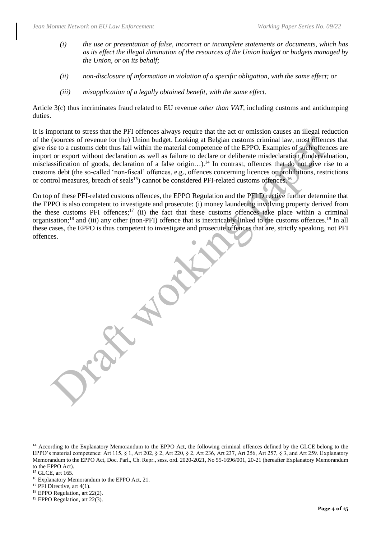- *(i) the use or presentation of false, incorrect or incomplete statements or documents, which has as its effect the illegal diminution of the resources of the Union budget or budgets managed by the Union, or on its behalf;*
- *(ii) non-disclosure of information in violation of a specific obligation, with the same effect; or*
- *(iii) misapplication of a legally obtained benefit, with the same effect.*

Article 3(c) thus incriminates fraud related to EU revenue *other than VAT*, including customs and antidumping duties.

It is important to stress that the PFI offences always require that the act or omission causes an illegal reduction of the (sources of revenue for the) Union budget. Looking at Belgian customs criminal law, most offences that give rise to a customs debt thus fall within the material competence of the EPPO. Examples of such offences are import or export without declaration as well as failure to declare or deliberate misdeclaration (undervaluation, misclassification of goods, declaration of a false origin...).<sup>14</sup> In contrast, offences that do not give rise to a customs debt (the so-called 'non-fiscal' offences, e.g., offences concerning licences or prohibitions, restrictions or control measures, breach of seals<sup>15</sup>) cannot be considered PFI-related customs offences.<sup>16</sup>

On top of these PFI-related customs offences, the EPPO Regulation and the PFI Directive further determine that the EPPO is also competent to investigate and prosecute: (i) money laundering involving property derived from the these customs PFI offences;<sup>17</sup> (ii) the fact that these customs offences take place within a criminal organisation;<sup>18</sup> and (iii) any other (non-PFI) offence that is inextricably linked to the customs offences.<sup>19</sup> In all these cases, the EPPO is thus competent to investigate and prosecute offences that are, strictly speaking, not PFI offences.

<sup>14</sup> According to the Explanatory Memorandum to the EPPO Act, the following criminal offences defined by the GLCE belong to the EPPO's material competence: Art 115, § 1, Art 202, § 2, Art 220, § 2, Art 236, Art 237, Art 256, Art 257, § 3, and Art 259. Explanatory Memorandum to the EPPO Act, Doc. Parl., Ch. Repr., sess. ord. 2020-2021, No 55-1696/001, 20-21 (hereafter Explanatory Memorandum to the EPPO Act).

<sup>15</sup> GLCE, art 165.

<sup>16</sup> Explanatory Memorandum to the EPPO Act, 21.

 $17$  PFI Directive, art 4(1).

<sup>18</sup> EPPO Regulation, art 22(2).

<sup>19</sup> EPPO Regulation, art 22(3).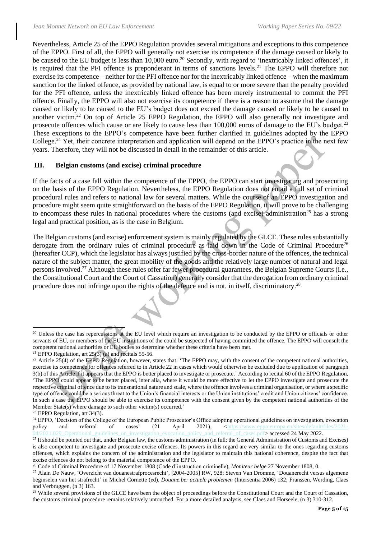Nevertheless, Article 25 of the EPPO Regulation provides several mitigations and exceptions to this competence of the EPPO. First of all, the EPPO will generally not exercise its competence if the damage caused or likely to be caused to the EU budget is less than 10,000 euro.<sup>20</sup> Secondly, with regard to 'inextricably linked offences', it is required that the PFI offence is preponderant in terms of sanctions levels.<sup>21</sup> The EPPO will therefore not exercise its competence – neither for the PFI offence nor for the inextricably linked offence – when the maximum sanction for the linked offence, as provided by national law, is equal to or more severe than the penalty provided for the PFI offence, unless the inextricably linked offence has been merely instrumental to commit the PFI offence. Finally, the EPPO will also not exercise its competence if there is a reason to assume that the damage caused or likely to be caused to the EU's budget does not exceed the damage caused or likely to be caused to another victim.<sup>22</sup> On top of Article 25 EPPO Regulation, the EPPO will also generally not investigate and prosecute offences which cause or are likely to cause less than 100,000 euros of damage to the EU's budget.<sup>23</sup> These exceptions to the EPPO's competence have been further clarified in guidelines adopted by the EPPO College.<sup>24</sup> Yet, their concrete interpretation and application will depend on the EPPO's practice in the next few years. Therefore, they will not be discussed in detail in the remainder of this article.

#### **III. Belgian customs (and excise) criminal procedure**

If the facts of a case fall within the competence of the EPPO, the EPPO can start investigating and prosecuting on the basis of the EPPO Regulation. Nevertheless, the EPPO Regulation does not entail a full set of criminal procedural rules and refers to national law for several matters. While the course of an EPPO investigation and procedure might seem quite straightforward on the basis of the EPPO Regulation, it will prove to be challenging to encompass these rules in national procedures where the customs (and excise) administration<sup>25</sup> has a strong legal and practical position, as is the case in Belgium.

<span id="page-4-1"></span><span id="page-4-0"></span>The Belgian customs (and excise) enforcement system is mainly regulated by the GLCE. These rules substantially derogate from the ordinary rules of criminal procedure as laid down in the Code of Criminal Procedure<sup>26</sup> (hereafter CCP), which the legislator has always justified by the cross-border nature of the offences, the technical nature of the subject matter, the great mobility of the goods and the relatively large number of natural and legal persons involved.<sup>27</sup> Although these rules offer far fewer procedural guarantees, the Belgian Supreme Courts (i.e., the Constitutional Court and the Court of Cassation) generally consider that the derogation from ordinary criminal procedure does not infringe upon the rights of the defence and is not, in itself, discriminatory.<sup>28</sup>

<sup>&</sup>lt;sup>20</sup> Unless the case has repercussions at the EU level which require an investigation to be conducted by the EPPO or officials or other servants of EU, or members of the EU institutions of the could be suspected of having committed the offence. The EPPO will consult the competent national authorities or EU bodies to determine whether these criteria have been met.

<sup>&</sup>lt;sup>21</sup> EPPO Regulation, art  $25(3)$  (a) and recitals 55-56.

<sup>&</sup>lt;sup>22</sup> Article 25(4) of the EPPO Regulation, however, states that: 'The EPPO may, with the consent of the competent national authorities, exercise its competence for offences referred to in Article 22 in cases which would otherwise be excluded due to application of paragraph 3(b) of this Article if it appears that the EPPO is better placed to investigate or prosecute.' According to recital 60 of the EPPO Regulation, 'The EPPO could appear to be better placed, inter alia, where it would be more effective to let the EPPO investigate and prosecute the respective criminal offence due to its transnational nature and scale, where the offence involves a criminal organisation, or where a specific type of offence could be a serious threat to the Union's financial interests or the Union institutions' credit and Union citizens' confidence. In such a case the EPPO should be able to exercise its competence with the consent given by the competent national authorities of the Member State(s) where damage to such other victim(s) occurred.'

<sup>23</sup> EPPO Regulation, art 34(3).

<sup>&</sup>lt;sup>24</sup> EPPO, 'Decision of the College of the European Public Prosecutor's Office adopting operational guidelines on investigation, evocation policy and referral of cases' (21 April 2021), <https://www.eppo.europa.eu/sites/d cy and referral of cases.pdf> accessed 24 May 2022.

 $^{25}$  It should be pointed out that, under Belgian law, the customs administration (in full: the General Administration of Customs and Excises) is also competent to investigate and prosecute excise offences. Its powers in this regard are very similar to the ones regarding customs offences, which explains the concern of the administration and the legislator to maintain this national coherence, despite the fact that excise offences do not belong to the material competence of the EPPO.

<sup>26</sup> Code of Criminal Procedure of 17 November 1808 (Code d'instruction criminelle), *Moniteur belge* 27 November 1808, 0.

<sup>27</sup> Alain De Nauw, 'Overzicht van douanestrafprocesrecht', [2004-2005] RW, 928; Steven Van Dromme, 'Douanerecht versus algemene beginselen van het strafrecht' in Michel Cornette (ed), *Douane.be: actuele problemen* (Intersentia 2006) 132; Franssen, Werding, Claes and Verbruggen, (n [3\)](#page-1-0) 163.

<sup>&</sup>lt;sup>28</sup> While several provisions of the GLCE have been the object of proceedings before the Constitutional Court and the Court of Cassation, the customs criminal procedure remains relatively untouched. For a more detailed analysis, see Claes and Horseele, (n [3\)](#page-1-0) 310-312.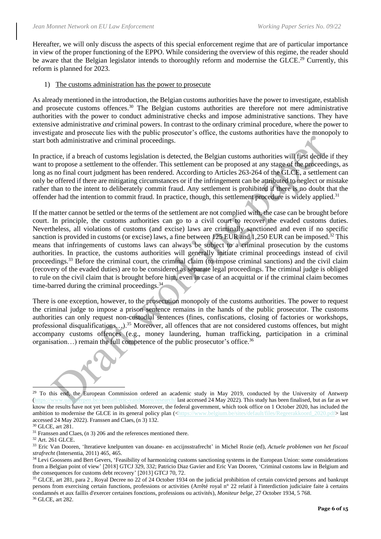Hereafter, we will only discuss the aspects of this special enforcement regime that are of particular importance in view of the proper functioning of the EPPO. While considering the overview of this regime, the reader should be aware that the Belgian legislator intends to thoroughly reform and modernise the GLCE.<sup>29</sup> Currently, this reform is planned for 2023.

#### 1) The customs administration has the power to prosecute

As already mentioned in the introduction, the Belgian customs authorities have the power to investigate, establish and prosecute customs offences.<sup>30</sup> The Belgian customs authorities are therefore not mere administrative authorities with the power to conduct administrative checks and impose administrative sanctions. They have extensive administrative *and* criminal powers. In contrast to the ordinary criminal procedure, where the power to investigate and prosecute lies with the public prosecutor's office, the customs authorities have the monopoly to start both administrative and criminal proceedings.

In practice, if a breach of customs legislation is detected, the Belgian customs authorities will first decide if they want to propose a settlement to the offender. This settlement can be proposed at any stage of the proceedings, as long as no final court judgment has been rendered. According to Articles 263-264 of the GLCE, a settlement can only be offered if there are mitigating circumstances or if the infringement can be attributed to neglect or mistake rather than to the intent to deliberately commit fraud. Any settlement is prohibited if there is no doubt that the offender had the intention to commit fraud. In practice, though, this settlement procedure is widely applied.<sup>31</sup>

If the matter cannot be settled or the terms of the settlement are not complied with, the case can be brought before court. In principle, the customs authorities can go to a civil court to recover the evaded customs duties. Nevertheless, all violations of customs (and excise) laws are criminally sanctioned and even if no specific sanction is provided in customs (or excise) laws, a fine between 125 EUR and 1,250 EUR can be imposed.<sup>32</sup> This means that infringements of customs laws can always be subject to a criminal prosecution by the customs authorities. In practice, the customs authorities will generally initiate criminal proceedings instead of civil proceedings.<sup>33</sup> Before the criminal court, the criminal claim (to impose criminal sanctions) and the civil claim (recovery of the evaded duties) are to be considered as separate legal proceedings. The criminal judge is obliged to rule on the civil claim that is brought before him, even in case of an acquittal or if the criminal claim becomes time-barred during the criminal proceedings.<sup>34</sup>

<span id="page-5-1"></span><span id="page-5-0"></span>There is one exception, however, to the prosecution monopoly of the customs authorities. The power to request the criminal judge to impose a prison sentence remains in the hands of the public prosecutor. The customs authorities can only request non-custodial sentences (fines, confiscations, closing of factories or workshops, professional disqualifications…).<sup>35</sup> Moreover, all offences that are not considered customs offences, but might accompany customs offences (e.g., money laundering, human trafficking, participation in a criminal organisation...) remain the full competence of the public prosecutor's office.<sup>36</sup>



<sup>&</sup>lt;sup>29</sup> To this end, the European Commission ordered an academic study in May 2019, conducted by the University of Antwerp [\(https://www.uantwerpen.be/en/staff/eric-vandooren/research/](https://www.uantwerpen.be/en/staff/eric-vandooren/research/) last accessed 24 May 2022). This study has been finalised, but as far as we know the results have not yet been published. Moreover, the federal government, which took office on 1 October 2020, has included the ambition to modernise the GLCE in its general policy plan ([<https://www.belgium.be/sites/default/files/Regeerakkoord\\_2020.pdf>](https://www.belgium.be/sites/default/files/Regeerakkoord_2020.pdf) last accessed 24 May 2022). Franssen and Claes, ([n 3\)](#page-1-0) 132.

<sup>30</sup> GLCE, art 281.

<sup>&</sup>lt;sup>31</sup> Franssen and Claes, ([n 3\)](#page-1-0) 206 and the references mentioned there.

<sup>32</sup> Art. 261 GLCE.

<sup>33</sup> Eric Van Dooren, 'Iteratieve knelpunten van douane- en accijnsstrafrecht' in Michel Rozie (ed), *Actuele problemen van het fiscaal strafrecht* (Intersentia, 2011) 465, 465.

<sup>&</sup>lt;sup>34</sup> Levi Goossens and Bert Gevers, 'Feasibility of harmonizing customs sanctioning systems in the European Union: some considerations from a Belgian point of view' [2018] GTCJ 329, 332; Patricio Diaz Gavier and Eric Van Dooren, 'Criminal customs law in Belgium and the consequences for customs debt recovery' [2013] GTCJ 70, 72.

<sup>&</sup>lt;sup>35</sup> GLCE, art 281, para 2, Royal Decree no 22 of 24 October 1934 on the judicial prohibition of certain convicted persons and bankrupt persons from exercising certain functions, professions or activities (Arrêté royal n° 22 relatif à l'interdiction judiciaire faite à certains condamnés et aux faillis d'exercer certaines fonctions, professions ou activités), *Moniteur belge*, 27 October 1934, 5 768. <sup>36</sup> GLCE, art 282.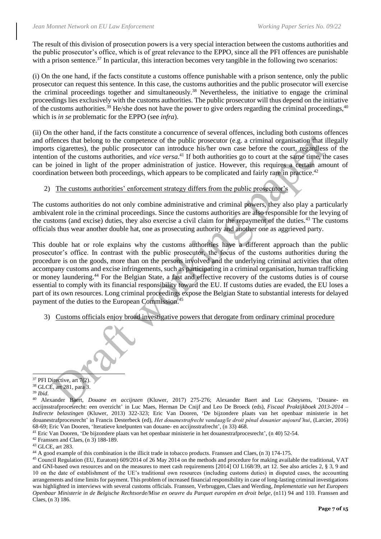The result of this division of prosecution powers is a very special interaction between the customs authorities and the public prosecutor's office, which is of great relevance to the EPPO, since all the PFI offences are punishable with a prison sentence.<sup>37</sup> In particular, this interaction becomes very tangible in the following two scenarios:

(i) On the one hand, if the facts constitute a customs offence punishable with a prison sentence, only the public prosecutor can request this sentence. In this case, the customs authorities and the public prosecutor will exercise the criminal proceedings together and simultaneously.<sup>38</sup> Nevertheless, the initiative to engage the criminal proceedings lies exclusively with the customs authorities. The public prosecutor will thus depend on the initiative of the customs authorities.<sup>39</sup> He/she does not have the power to give orders regarding the criminal proceedings,<sup>40</sup> which is *in se* problematic for the EPPO (see *infra*).

(ii) On the other hand, if the facts constitute a concurrence of several offences, including both customs offences and offences that belong to the competence of the public prosecutor (e.g. a criminal organisation that illegally imports cigarettes), the public prosecutor can introduce his/her own case before the court, regardless of the intention of the customs authorities, and *vice versa*. <sup>41</sup> If both authorities go to court at the same time, the cases can be joined in light of the proper administration of justice. However, this requires a certain amount of coordination between both proceedings, which appears to be complicated and fairly rare in practice.<sup>42</sup>

#### <span id="page-6-0"></span>2) The customs authorities' enforcement strategy differs from the public prosecutor's

The customs authorities do not only combine administrative and criminal powers, they also play a particularly ambivalent role in the criminal proceedings. Since the customs authorities are also responsible for the levying of the customs (and excise) duties, they also exercise a civil claim for the repayment of the duties.<sup>43</sup> The customs officials thus wear another double hat, one as prosecuting authority and another one as aggrieved party.

This double hat or role explains why the customs authorities have a different approach than the public prosecutor's office. In contrast with the public prosecutor, the focus of the customs authorities during the procedure is on the goods, more than on the persons involved and the underlying criminal activities that often accompany customs and excise infringements, such as participating in a criminal organisation, human trafficking or money laundering.<sup>44</sup> For the Belgian State, a fast and effective recovery of the customs duties is of course essential to comply with its financial responsibility toward the EU. If customs duties are evaded, the EU loses a part of its own resources. Long criminal proceedings expose the Belgian State to substantial interests for delayed payment of the duties to the European Commission. 45

3) Customs officials enjoy broad investigative powers that derogate from ordinary criminal procedure



<sup>38</sup> GLCE, art 281, para 3.

<sup>39</sup> *Ibid*.

<sup>41</sup> Eric Van Dooren, 'De bijzondere plaats van het openbaar ministerie in het douanestrafprocesrecht', ([n 40\)](#page-6-0) 52-54.

<sup>42</sup> Franssen and Claes, ([n 3\)](#page-1-0) 188-189.

<sup>43</sup> GLCE, art 283.

<sup>40</sup> Alexander Baert, *Douane en accijnzen* (Kluwer, 2017) 275-276; Alexander Baert and Luc Gheysens, 'Douane- en accijnsstrafprocesrecht: een overzicht' in Luc Maes, Herman De Cnijf and Leo De Broeck (eds), *Fiscaal Praktijkboek 2013-2014 – Indirecte belastingen* (Kluwer, 2013) 322-323; Eric Van Dooren, 'De bijzondere plaats van het openbaar ministerie in het douanestrafprocesrecht' in Francis Desterbeck (ed), *Het douanestrafrecht vandaag/le droit pénal douanier aujourd'hui*, (Larcier, 2016) 68-69; Eric Van Dooren, 'Iteratieve knelpunten van douane- en accijnsstrafrecht', ([n 33\)](#page-5-0) 468.

<sup>44</sup> A good example of this combination is the illicit trade in tobacco products. Franssen and Claes, ([n 3\)](#page-1-0) 174-175.

<sup>45</sup> Council Regulation (EU, Euratom) 609/2014 of 26 May 2014 on the methods and procedure for making available the traditional, VAT and GNI-based own resources and on the measures to meet cash requirements [2014] OJ L168/39, art 12. See also articles 2, § 3, 9 and 10 on the date of establishment of the UE's traditional own resources (including customs duties) in disputed cases, the accounting arrangements and time limits for payment. This problem of increased financial responsibility in case of long-lasting criminal investigations was highlighted in interviews with several customs officials. Franssen, Verbruggen, Claes and Werding, *Implementatie van het Europees Openbaar Ministerie in de Belgische Rechtsorde/Mise en oeuvre du Parquet européen en droit belge*, ([n11\)](#page-2-0) 94 and 110. Franssen and Claes, (n [3\)](#page-1-0) 186.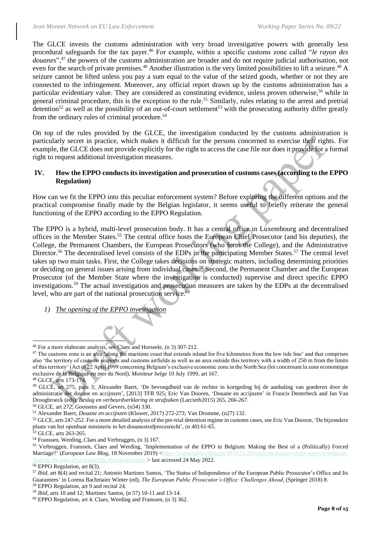The GLCE invests the customs administration with very broad investigative powers with generally less procedural safeguards for the tax payer.<sup>46</sup> For example, within a specific customs zone called "*le rayon des douanes*",<sup>47</sup> the powers of the customs administration are broader and do not require judicial authorisation, not even for the search of private premises.<sup>48</sup> Another illustration is the very limited possibilities to lift a seizure.<sup>49</sup> A seizure cannot be lifted unless you pay a sum equal to the value of the seized goods, whether or not they are connected to the infringement. Moreover, any official report drawn up by the customs administration has a particular evidentiary value. They are considered as constituting evidence, unless proven otherwise,<sup>50</sup> while in general criminal procedure, this is the exception to the rule.<sup>51</sup> Similarly, rules relating to the arrest and pretrial detention<sup>52</sup> as well as the possibility of an out-of-court settlement<sup>53</sup> with the prosecuting authority differ greatly from the ordinary rules of criminal procedure.<sup>54</sup>

On top of the rules provided by the GLCE, the investigation conducted by the customs administration is particularly secret in practice, which makes it difficult for the persons concerned to exercise their rights. For example, the GLCE does not provide explicitly for the right to access the case file nor does it provide for a formal right to request additional investigation measures.

#### **IV. How the EPPO conducts its investigation and prosecution of customs cases (according to the EPPO Regulation)**

How can we fit the EPPO into this peculiar enforcement system? Before exploring the different options and the practical compromise finally made by the Belgian legislator, it seems useful to briefly reiterate the general functioning of the EPPO according to the EPPO Regulation.

The EPPO is a hybrid, multi-level prosecution body. It has a central office in Luxembourg and decentralised offices in the Member States.<sup>55</sup> The central office hosts the European Chief Prosecutor (and his deputies), the College, the Permanent Chambers, the European Prosecutors (who form the College), and the Administrative Director.<sup>56</sup> The decentralised level consists of the EDPs in the participating Member States.<sup>57</sup> The central level takes up two main tasks. First, the College takes decisions on strategic matters, including determining priorities or deciding on general issues arising from individual cases.<sup>58</sup> Second, the Permanent Chamber and the European Prosecutor (of the Member State where the investigation is conducted) supervise and direct specific EPPO investigations.<sup>59</sup> The actual investigation and prosecution measures are taken by the EDPs at the decentralised level, who are part of the national prosecution service.<sup>60</sup>

#### <span id="page-7-0"></span>*1) The opening of the EPPO investigation*

<sup>53</sup> GLCE, arts 263-265.

<sup>46</sup> For a more elaborate analysis, see Claes and Horseele, ([n 3\)](#page-1-0) 307-212.

<sup>&</sup>lt;sup>47</sup> The customs zone is an area 'along the maritime coast that extends inland for five kilometres from the low tide line' and that comprises also 'the territory of customs seaports and customs airfields as well as an area outside this territory with a width of 250 m from the limits of this territory' (Act of 22 April 1999 concerning Belgium's exclusive economic zone in the North Sea (loi concernant la zone economique exclusive de la Belgique en mer du Nord), *Moniteur belge* 10 July 1999, art 167.

<sup>48</sup> GLCE, arts 173-174.

<sup>49</sup> GLCE, art 275, para 3; Alexander Baert, 'De bevoegdheid van de rechter in kortgeding bij de aanhaling van goederen door de administratie der douane en accijnzen', [2013] TFR 925; Eric Van Dooren, 'Douane en accijnzen' in Francis Desterbeck and Jan Van Droogbroeck (eds), *Beslag en verbeurdverklaring in strafzaken* (Larcierb2015) 265, 266-267.

<sup>50</sup> GLCE, art 272; Goossens and Gevers, ([n34\)](#page-5-1) 330.

<sup>51</sup> Alexander Baert, *Douane en accijnzen* (Kluwer, 2017) 272-273; Van Dromme, ([n27\)](#page-4-0) 132.

<sup>&</sup>lt;sup>52</sup> GLCE, arts 247-252. For a more detailed analysis of the pre-trial detention regime in customs cases, see Eric Van Dooren, 'De bijzondere plaats van het openbaar ministerie in het douanestrafprocesrecht', ([n 40\)](#page-6-0) 61-65.

<sup>54</sup> Franssen, Werding, Claes and Verbruggen, ([n 3\)](#page-1-0) 167.

<sup>55</sup> Verbruggen, Franssen, Claes and Werding, 'Implementation of the EPPO in Belgium: Making the Best of a (Politically) Forced Marriage?' (*European Law Blog*, 18 November 2019) [<https://europeanlawblog.eu/2019/11/18/implementation-of-the-eppo-in-belgium-](https://europeanlawblog.eu/2019/11/18/implementation-of-the-eppo-in-belgium-making-the-best-of-a-politically-forced-marriage/) $\cdot$ -of-a-politically-forced-marriage/ $>$  last accessed 24 May 2022.

<sup>&</sup>lt;sup>56</sup> EPPO Regulation, art 8(3).

<sup>57</sup> *Ibid,* art 8(4) and recital 21; Antonio Martinez Santos, 'The Status of Independence of the European Public Prosecutor's Office and Its Guarantees' in Lorena Bachmaier Winter (ed), *The European Public Prosecutor's Office: Challenges Ahead*, (Springer 2018) 8. <sup>58</sup> EPPO Regulation, art 9 and recital 24.

<sup>59</sup> *Ibid,* arts 10 and 12; Martinez Santos, (n [57\)](#page-7-0) 10-11 and 13-14.

<sup>60</sup> EPPO Regulation, art 4. Claes, Werding and Franssen, (n [3\)](#page-1-0) 362.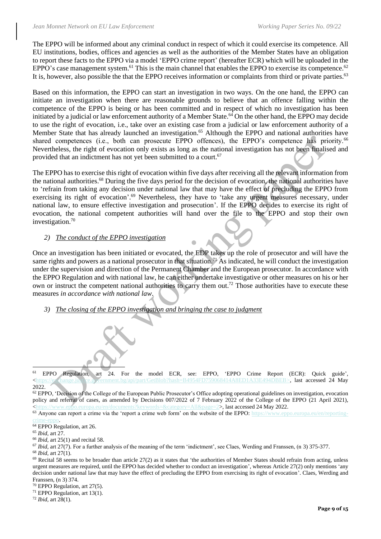The EPPO will be informed about any criminal conduct in respect of which it could exercise its competence. All EU institutions, bodies, offices and agencies as well as the authorities of the Member States have an obligation to report these facts to the EPPO via a model 'EPPO crime report' (hereafter ECR) which will be uploaded in the EPPO's case management system.<sup>61</sup> This is the main channel that enables the EPPO to exercise its competence.<sup>62</sup> It is, however, also possible the that the EPPO receives information or complaints from third or private parties.<sup>63</sup>

Based on this information, the EPPO can start an investigation in two ways. On the one hand, the EPPO can initiate an investigation when there are reasonable grounds to believe that an offence falling within the competence of the EPPO is being or has been committed and in respect of which no investigation has been initiated by a judicial or law enforcement authority of a Member State.<sup>64</sup> On the other hand, the EPPO may decide to use the right of evocation, i.e., take over an existing case from a judicial or law enforcement authority of a Member State that has already launched an investigation.<sup>65</sup> Although the EPPO and national authorities have shared competences (i.e., both can prosecute EPPO offences), the EPPO's competence has priority.<sup>66</sup> Nevertheless, the right of evocation only exists as long as the national investigation has not been finalised and provided that an indictment has not yet been submitted to a court.<sup>67</sup>

The EPPO has to exercise this right of evocation within five days after receiving all the relevant information from the national authorities.<sup>68</sup> During the five days period for the decision of evocation, the national authorities have to 'refrain from taking any decision under national law that may have the effect of precluding the EPPO from exercising its right of evocation'.<sup>69</sup> Nevertheless, they have to 'take any urgent measures necessary, under national law, to ensure effective investigation and prosecution'. If the EPPO decides to exercise its right of evocation, the national competent authorities will hand over the file to the EPPO and stop their own investigation.<sup>70</sup>

#### *2) The conduct of the EPPO investigation*

Once an investigation has been initiated or evocated, the EDP takes up the role of prosecutor and will have the same rights and powers as a national prosecutor in that situation.<sup>71</sup> As indicated, he will conduct the investigation under the supervision and direction of the Permanent Chamber and the European prosecutor. In accordance with the EPPO Regulation and with national law, he can either undertake investigative or other measures on his or her own or instruct the competent national authorities to carry them out.<sup>72</sup> Those authorities have to execute these measures *in accordance with national law*.

*3) The closing of the EPPO investigation and bringing the case to judgment*

 $62$  EPPO, 'Decision of the College of the European Public Prosecutor's Office adopting operational guidelines on investigation, evocation policy and referral of cases, as amended by Decisions 007/2022 of 7 February 2022 of the College of the EPPO (21 April 2021), [<https://www.eppo.europa.eu/en/documents?keywords=&category=All&page=2>](https://www.eppo.europa.eu/en/documents?keywords=&category=All&page=2), last accessed 24 May 2022.

 $63$  Anyone can report a crime via the 'report a crime web form' on the website of the EPPO: [https://www.eppo.europa.eu/en/reporting](https://www.eppo.europa.eu/en/reporting-crime-eppo)ime-eppo.

<sup>66</sup> *Ibid,* art 25(1) and recital 58.

<sup>68</sup> *Ibid,* art 27(1).

<sup>70</sup> EPPO Regulation, art 27(5).

<sup>72</sup> *Ibid,* art 28(1).

<sup>61</sup> EPPO Regulation, art 24. For the model ECR, see: EPPO, 'EPPO Crime Report (ECR): Quick guide', [<https://exchange.justice.government.bg/api/part/GetBlob?hash=B4954FD759068414A8ED1A33E494DBEB>](https://exchange.justice.government.bg/api/part/GetBlob?hash=B4954FD759068414A8ED1A33E494DBEB), last accessed 24 May 2022.

<sup>&</sup>lt;sup>64</sup> EPPO Regulation, art 26.

<sup>65</sup> *Ibid,* art 27.

<sup>&</sup>lt;sup>67</sup> *Ibid*, art 27(7). For a further analysis of the meaning of the term 'indictment', see Claes, Werding and Franssen, ([n 3\)](#page-1-0) 375-377.

 $^{69}$  Recital 58 seems to be broader than article 27(2) as it states that 'the authorities of Member States should refrain from acting, unless urgent measures are required, until the EPPO has decided whether to conduct an investigation', whereas Article 27(2) only mentions 'any decision under national law that may have the effect of precluding the EPPO from exercising its right of evocation'. Claes, Werding and Franssen, ([n 3\)](#page-1-0) 374.

<sup>&</sup>lt;sup>71</sup> EPPO Regulation, art  $13(1)$ .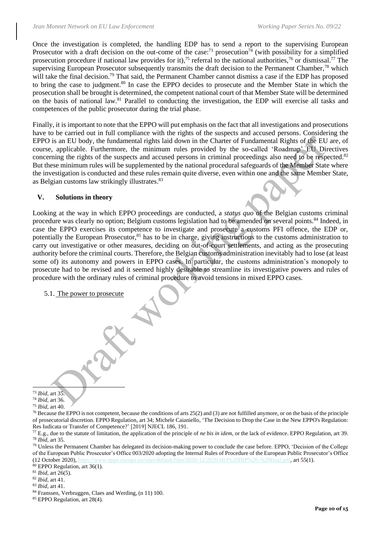Once the investigation is completed, the handling EDP has to send a report to the supervising European Prosecutor with a draft decision on the out-come of the case:<sup>73</sup> prosecution<sup>74</sup> (with possibility for a simplified prosecution procedure if national law provides for it),<sup>75</sup> referral to the national authorities,<sup>76</sup> or dismissal.<sup>77</sup> The supervising European Prosecutor subsequently transmits the draft decision to the Permanent Chamber,  $^{78}$  which will take the final decision.<sup>79</sup> That said, the Permanent Chamber cannot dismiss a case if the EDP has proposed to bring the case to judgment.<sup>80</sup> In case the EPPO decides to prosecute and the Member State in which the prosecution shall be brought is determined, the competent national court of that Member State will be determined on the basis of national law.<sup>81</sup> Parallel to conducting the investigation, the EDP will exercise all tasks and competences of the public prosecutor during the trial phase.

Finally, it is important to note that the EPPO will put emphasis on the fact that all investigations and prosecutions have to be carried out in full compliance with the rights of the suspects and accused persons. Considering the EPPO is an EU body, the fundamental rights laid down in the Charter of Fundamental Rights of the EU are, of course, applicable. Furthermore, the minimum rules provided by the so-called 'Roadmap' EU Directives concerning the rights of the suspects and accused persons in criminal proceedings also need to be respected.<sup>82</sup> But these minimum rules will be supplemented by the national procedural safeguards of the Member State where the investigation is conducted and these rules remain quite diverse, even within one and the same Member State, as Belgian customs law strikingly illustrates.<sup>83</sup>

#### **V. Solutions in theory**

Looking at the way in which EPPO proceedings are conducted, a *status quo* of the Belgian customs criminal procedure was clearly no option; Belgium customs legislation had to be amended on several points.<sup>84</sup> Indeed, in case the EPPO exercises its competence to investigate and prosecute a customs PFI offence, the EDP or, potentially the European Prosecutor,<sup>85</sup> has to be in charge, giving instructions to the customs administration to carry out investigative or other measures, deciding on out-of-court settlements, and acting as the prosecuting authority before the criminal courts. Therefore, the Belgian customs administration inevitably had to lose (at least some of) its autonomy and powers in EPPO cases. In particular, the customs administration's monopoly to prosecute had to be revised and it seemed highly desirable to streamline its investigative powers and rules of procedure with the ordinary rules of criminal procedure to avoid tensions in mixed EPPO cases.

5.1. The power to prosecute

<sup>73</sup> *Ibid,* art 35.

<sup>74</sup> *Ibid,* art 36.

<sup>75</sup> *Ibid,* art 40.

<sup>&</sup>lt;sup>76</sup> Because the EPPO is not competent, because the conditions of arts 25(2) and (3) are not fulfilled anymore, or on the basis of the principle of prosecutorial discretion. EPPO Regulation, art 34; Michele Caianiello, 'The Decision to Drop the Case in the New EPPO's Regulation: Res Iudicata or Transfer of Competence?' [2019] NJECL 186, 191.

<sup>77</sup> E.g., due to the statute of limitation, the application of the principle of *ne bis in idem*, or the lack of evidence. EPPO Regulation, art 39. <sup>78</sup> *Ibid,* art 35.

<sup>&</sup>lt;sup>79</sup> Unless the Permanent Chamber has delegated its decision-making power to conclude the case before. EPPO, 'Decision of the College of the European Public Prosecutor's Office 003/2020 adopting the Internal Rules of Procedure of the European Public Prosecutor's Office (12 October 2020), [https://www.eppo.europa.eu/sites/default/files/2020-12/2020.003%20IRP%20-%20final.pdf,](https://www.eppo.europa.eu/sites/default/files/2020-12/2020.003%20IRP%20-%20final.pdf) art 55(1).

 $80$  EPPO Regulation, art 36(1).

<sup>81</sup> *Ibid,* art 26(5).

<sup>82</sup> *Ibid,* art 41.

<sup>83</sup> *Ibid,* art 41.

<sup>84</sup> Franssen, Verbruggen, Claes and Werding, (n [11\)](#page-2-0) 100.

<sup>85</sup> EPPO Regulation, art 28(4).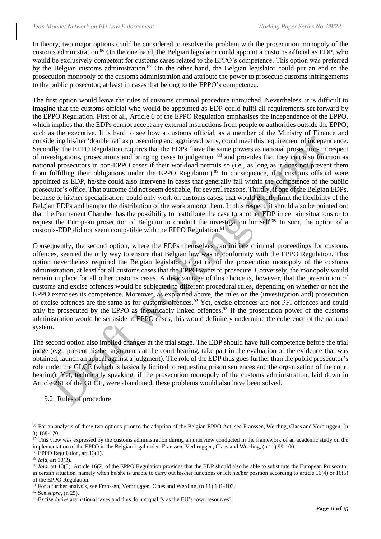In theory, two major options could be considered to resolve the problem with the prosecution monopoly of the customs administration.<sup>86</sup> On the one hand, the Belgian legislator could appoint a customs official as EDP, who would be exclusively competent for customs cases related to the EPPO's competence. This option was preferred by the Belgian customs administration.<sup>87</sup> On the other hand, the Belgian legislator could put an end to the prosecution monopoly of the customs administration and attribute the power to prosecute customs infringements to the public prosecutor, at least in cases that belong to the EPPO's competence.

The first option would leave the rules of customs criminal procedure untouched. Nevertheless, it is difficult to imagine that the customs official who would be appointed as EDP could fulfil all requirements set forward by the EPPO Regulation. First of all, Article 6 of the EPPO Regulation emphasises the independence of the EPPO, which implies that the EDPs cannot accept any external instructions from people or authorities outside the EPPO, such as the executive. It is hard to see how a customs official, as a member of the Ministry of Finance and considering his/her 'double hat' as prosecuting and aggrieved party, could meet this requirement of independence. Secondly, the EPPO Regulation requires that the EDPs 'have the same powers as national prosecutors in respect of investigations, prosecutions and bringing cases to judgement*'* <sup>88</sup> and provides that they can also function as national prosecutors in non-EPPO cases if their workload permits so (i.e., as long as it does not prevent them from fulfilling their obligations under the EPPO Regulation).<sup>89</sup> In consequence, if a customs official were appointed as EDP, he/she could also intervene in cases that generally fall within the competence of the public prosecutor's office. That outcome did not seem desirable, for several reasons. Thirdly, if one of the Belgian EDPs, because of his/her specialisation, could only work on customs cases, that would greatly limit the flexibility of the Belgian EDPs and hamper the distribution of the work among them. In this respect, it should also be pointed out that the Permanent Chamber has the possibility to reattribute the case to another EDP in certain situations or to request the European prosecutor of Belgium to conduct the investigation himself.<sup>90</sup> In sum, the option of a customs-EDP did not seem compatible with the EPPO Regulation.<sup>91</sup>

Consequently, the second option, where the EDPs themselves can initiate criminal proceedings for customs offences, seemed the only way to ensure that Belgian law was in conformity with the EPPO Regulation. This option nevertheless required the Belgian legislator to get rid of the prosecution monopoly of the customs administration, at least for all customs cases that the EPPO wants to prosecute. Conversely, the monopoly would remain in place for all other customs cases. A disadvantage of this choice is, however, that the prosecution of customs and excise offences would be subjected to different procedural rules, depending on whether or not the EPPO exercises its competence. Moreover, as explained above, the rules on the (investigation and) prosecution of excise offences are the same as for customs offences. <sup>92</sup> Yet, excise offences are not PFI offences and could only be prosecuted by the EPPO as inextricably linked offences.<sup>93</sup> If the prosecution power of the customs administration would be set aside in EPPO cases, this would definitely undermine the coherence of the national system.

The second option also implied changes at the trial stage. The EDP should have full competence before the trial judge (e.g., present his/her arguments at the court hearing, take part in the evaluation of the evidence that was obtained, launch an appeal against a judgment). The role of the EDP thus goes further than the public prosecutor's role under the GLCE (which is basically limited to requesting prison sentences and the organisation of the court hearing). Yet, technically speaking, if the prosecution monopoly of the customs administration, laid down in Article 281 of the GLCE, were abandoned, these problems would also have been solved.

5.2. Rules of procedure

<sup>&</sup>lt;sup>86</sup> For an analysis of these two options prior to the adoption of the Belgian EPPO Act, see Franssen, Werding, Claes and Verbruggen, (n [3\)](#page-1-0) 168-170.

<sup>&</sup>lt;sup>87</sup> This view was expressed by the customs administration during an interview conducted in the framework of an academic study on the implementation of the EPPO in the Belgian legal order. Franssen, Verbruggen, Claes and Werding, ([n 11\)](#page-2-0) 99-100.

 $88$  EPPO Regulation, art 13(1).

<sup>89</sup> *Ibid,* art 13(3).

<sup>&</sup>lt;sup>90</sup> *Ibid*, art 13(3). Article 16(7) of the EPPO Regulation provides that the EDP should also be able to substitute the European Prosecutor in certain situation, namely when he/she is unable to carry out his/her functions or left his/her position according to article 16(4) or 16(5) of the EPPO Regulation.

 $91$  For a further analysis, see Franssen, Verbruggen, Claes and Werding, (n [11\)](#page-2-0) 101-103.

<sup>92</sup> See *supra*, ([n 25\)](#page-4-1).

<sup>&</sup>lt;sup>93</sup> Excise duties are national taxes and thus do not qualify as the EU's 'own resources'.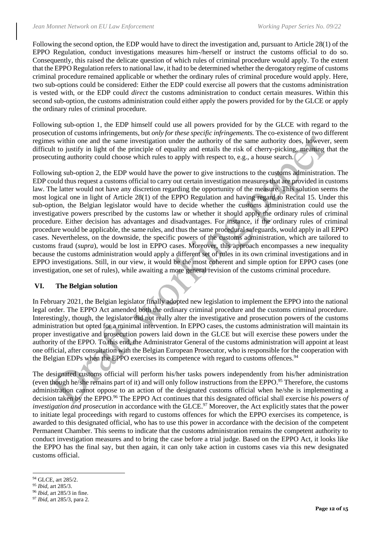Following the second option, the EDP would have to direct the investigation and, pursuant to Article 28(1) of the EPPO Regulation, conduct investigations measures him-/herself or instruct the customs official to do so. Consequently, this raised the delicate question of which rules of criminal procedure would apply. To the extent that the EPPO Regulation refers to national law, it had to be determined whether the derogatory regime of customs criminal procedure remained applicable or whether the ordinary rules of criminal procedure would apply. Here, two sub-options could be considered: Either the EDP could exercise all powers that the customs administration is vested with, or the EDP could *direct* the customs administration to conduct certain measures. Within this second sub-option, the customs administration could either apply the powers provided for by the GLCE or apply the ordinary rules of criminal procedure.

Following sub-option 1, the EDP himself could use all powers provided for by the GLCE with regard to the prosecution of customs infringements, but *only for these specific infringements.* The co-existence of two different regimes within one and the same investigation under the authority of the same authority does, however, seem difficult to justify in light of the principle of equality and entails the risk of cherry-picking, meaning that the prosecuting authority could choose which rules to apply with respect to, e.g., a house search.

Following sub-option 2, the EDP would have the power to give instructions to the customs administration. The EDP could thus request a customs official to carry out certain investigation measures that are provided in customs law. The latter would not have any discretion regarding the opportunity of the measure. This solution seems the most logical one in light of Article 28(1) of the EPPO Regulation and having regard to Recital 15. Under this sub-option, the Belgian legislator would have to decide whether the customs administration could use the investigative powers prescribed by the customs law or whether it should apply the ordinary rules of criminal procedure. Either decision has advantages and disadvantages. For instance, if the ordinary rules of criminal procedure would be applicable, the same rules, and thus the same procedural safeguards, would apply in all EPPO cases. Nevertheless, on the downside, the specific powers of the customs administration, which are tailored to customs fraud (*supra*), would be lost in EPPO cases. Moreover, this approach encompasses a new inequality because the customs administration would apply a different set of rules in its own criminal investigations and in EPPO investigations. Still, in our view, it would be the most coherent and simple option for EPPO cases (one investigation, one set of rules), while awaiting a more general revision of the customs criminal procedure.

#### **VI. The Belgian solution**

In February 2021, the Belgian legislator finally adopted new legislation to implement the EPPO into the national legal order. The EPPO Act amended both the ordinary criminal procedure and the customs criminal procedure. Interestingly, though, the legislator did not really alter the investigative and prosecution powers of the customs administration but opted for a minimal intervention. In EPPO cases, the customs administration will maintain its proper investigative and prosecution powers laid down in the GLCE but will exercise these powers under the authority of the EPPO. To this end, the Administrator General of the customs administration will appoint at least one official, after consultation with the Belgian European Prosecutor, who is responsible for the cooperation with the Belgian EDPs when the EPPO exercises its competence with regard to customs offences.<sup>94</sup>

The designated customs official will perform his/her tasks powers independently from his/her administration (even though he/she remains part of it) and will only follow instructions from the EPPO. <sup>95</sup> Therefore, the customs administration cannot oppose to an action of the designated customs official when he/she is implementing a decision taken by the EPPO.<sup>96</sup> The EPPO Act continues that this designated official shall exercise *his powers of investigation and prosecution* in accordance with the GLCE.<sup>97</sup> Moreover, the Act explicitly states that the power to initiate legal proceedings with regard to customs offences for which the EPPO exercises its competence, is awarded to this designated official, who has to use this power in accordance with the decision of the competent Permanent Chamber. This seems to indicate that the customs administration remains the competent authority to conduct investigation measures and to bring the case before a trial judge. Based on the EPPO Act, it looks like the EPPO has the final say, but then again, it can only take action in customs cases via this new designated customs official.

<sup>94</sup> GLCE, art 285/2.

<sup>95</sup> *Ibid*, art 285/3.

<sup>96</sup> *Ibid*, art 285/3 in fine.

<sup>97</sup> *Ibid*, art 285/3, para 2.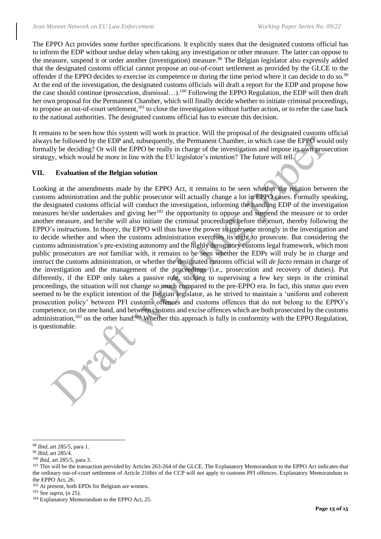The EPPO Act provides some further specifications. It explicitly states that the designated customs official has to inform the EDP without undue delay when taking any investigation or other measure. The latter can oppose to the measure, suspend it or order another (investigation) measure.<sup>98</sup> The Belgian legislator also expressly added that the designated customs official cannot propose an out-of-court settlement as provided by the GLCE to the offender if the EPPO decides to exercise its competence or during the time period where it can decide to do so.<sup>99</sup> At the end of the investigation, the designated customs officials will draft a report for the EDP and propose how the case should continue (prosecution, dismissal...).<sup>100</sup> Following the EPPO Regulation, the EDP will then draft her own proposal for the Permanent Chamber, which will finally decide whether to initiate criminal proceedings, to propose an out-of-court settlement,<sup>101</sup> to close the investigation without further action, or to refer the case back to the national authorities. The designated customs official has to execute this decision.

It remains to be seen how this system will work in practice. Will the proposal of the designated customs official always be followed by the EDP and, subsequently, the Permanent Chamber, in which case the EPPO would only formally be deciding? Or will the EPPO be really in charge of the investigation and impose its own prosecution strategy, which would be more in line with the EU legislator's intention? The future will tell.

#### **VII. Evaluation of the Belgian solution**

Looking at the amendments made by the EPPO Act, it remains to be seen whether the relation between the customs administration and the public prosecutor will actually change a lot in EPPO cases. Formally speaking, the designated customs official will conduct the investigation, informing the handling EDP of the investigation measures he/she undertakes and giving her<sup>102</sup> the opportunity to oppose and suspend the measure or to order another measure, and he/she will also initiate the criminal proceedings before the court, thereby following the EPPO's instructions. In theory, the EPPO will thus have the power to intervene strongly in the investigation and to decide whether and when the customs administration exercises its right to prosecute. But considering the customs administration's pre-existing autonomy and the highly derogatory customs legal framework, which most public prosecutors are *not* familiar with, it remains to be seen whether the EDPs will truly be in charge and instruct the customs administration, or whether the designated customs official will *de facto* remain in charge of the investigation and the management of the proceedings (i.e., prosecution and recovery of duties). Put differently, if the EDP only takes a passive role, sticking to supervising a few key steps in the criminal proceedings, the situation will not change so much compared to the pre-EPPO era. In fact, this *status quo* even seemed to be the explicit intention of the Belgian legislator, as he strived to maintain a 'uniform and coherent prosecution policy' between PFI customs offences and customs offences that do not belong to the EPPO's competence, on the one hand, and between customs and excise offences which are both prosecuted by the customs administration,<sup>103</sup> on the other hand.<sup>104</sup> Whether this approach is fully in conformity with the EPPO Regulation, is questionable.

<sup>98</sup> *Ibid*, art 285/5, para 1.

<sup>99</sup> *Ibid*, art 285/4.

<sup>100</sup> *Ibid*, art 285/5, para 3.

<sup>&</sup>lt;sup>101</sup> This will be the transaction provided by Articles 263-264 of the GLCE. The Explanatory Memorandum to the EPPO Act indicates that the ordinary out-of-court settlement of Article 216bis of the CCP will not apply to customs PFI offences. Explanatory Memorandum to the EPPO Act, 26.

<sup>102</sup> At present, both EPDs for Belgium are women.

<sup>103</sup> See *supra*, ([n 25\)](#page-4-1).

<sup>&</sup>lt;sup>104</sup> Explanatory Memorandum to the EPPO Act, 25.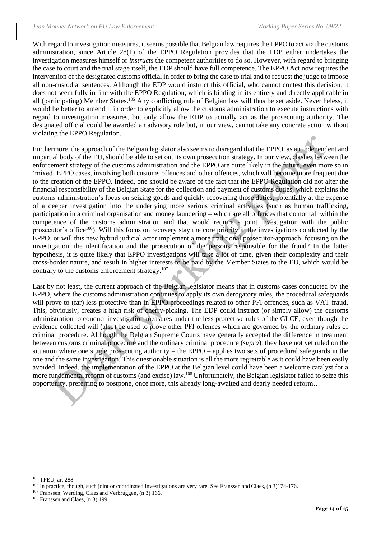With regard to investigation measures, it seems possible that Belgian law requires the EPPO to act via the customs administration, since Article 28(1) of the EPPO Regulation provides that the EDP either undertakes the investigation measures himself or *instructs* the competent authorities to do so. However, with regard to bringing the case to court and the trial stage itself, the EDP should have full competence. The EPPO Act now requires the intervention of the designated customs official in order to bring the case to trial and to request the judge to impose all non-custodial sentences. Although the EDP would instruct this official, who cannot contest this decision, it does not seem fully in line with the EPPO Regulation, which is binding in its entirety and directly applicable in all (participating) Member States.<sup>105</sup> Any conflicting rule of Belgian law will thus be set aside. Nevertheless, it would be better to amend it in order to explicitly allow the customs administration to execute instructions with regard to investigation measures, but only allow the EDP to actually act as the prosecuting authority. The designated official could be awarded an advisory role but, in our view, cannot take any concrete action without violating the EPPO Regulation.

Furthermore, the approach of the Belgian legislator also seems to disregard that the EPPO, as an independent and impartial body of the EU, should be able to set out its own prosecution strategy. In our view, clashes between the enforcement strategy of the customs administration and the EPPO are quite likely in the future, even more so in 'mixed' EPPO cases, involving both customs offences and other offences, which will become more frequent due to the creation of the EPPO. Indeed, one should be aware of the fact that the EPPO Regulation did not alter the financial responsibility of the Belgian State for the collection and payment of customs duties, which explains the customs administration's focus on seizing goods and quickly recovering those duties, potentially at the expense of a deeper investigation into the underlying more serious criminal activities (such as human trafficking, participation in a criminal organisation and money laundering – which are all offences that do not fall within the competence of the customs administration and that would require a joint investigation with the public prosecutor's office<sup>106</sup>). Will this focus on recovery stay the core priority in the investigations conducted by the EPPO, or will this new hybrid judicial actor implement a more traditional prosecutor-approach, focusing on the investigation, the identification and the prosecution of the persons responsible for the fraud? In the latter hypothesis, it is quite likely that EPPO investigations will take a lot of time, given their complexity and their cross-border nature, and result in higher interests to be paid by the Member States to the EU, which would be contrary to the customs enforcement strategy.<sup>107</sup>

Last by not least, the current approach of the Belgian legislator means that in customs cases conducted by the EPPO, where the customs administration continues to apply its own derogatory rules, the procedural safeguards will prove to (far) less protective than in EPPO proceedings related to other PFI offences, such as VAT fraud. This, obviously, creates a high risk of cherry-picking. The EDP could instruct (or simply allow) the customs administration to conduct investigation measures under the less protective rules of the GLCE, even though the evidence collected will (also) be used to prove other PFI offences which are governed by the ordinary rules of criminal procedure. Although the Belgian Supreme Courts have generally accepted the difference in treatment between customs criminal procedure and the ordinary criminal procedure (*supra*), they have not yet ruled on the situation where one single prosecuting authority – the EPPO – applies two sets of procedural safeguards in the one and the same investigation. This questionable situation is all the more regrettable as it could have been easily avoided. Indeed, the implementation of the EPPO at the Belgian level could have been a welcome catalyst for a more fundamental reform of customs (and excise) law.<sup>108</sup> Unfortunately, the Belgian legislator failed to seize this opportunity, preferring to postpone, once more, this already long-awaited and dearly needed reform…

<sup>105</sup> TFEU, art 288.

<sup>&</sup>lt;sup>106</sup> In practice, though, such joint or coordinated investigations are very rare. See Franssen and Claes, (n [3\)](#page-1-0)174-176.

<sup>107</sup> Franssen, Werding, Claes and Verbruggen, ([n 3\)](#page-1-0) 166.

<sup>108</sup> Franssen and Claes, ([n 3\)](#page-1-0) 199.